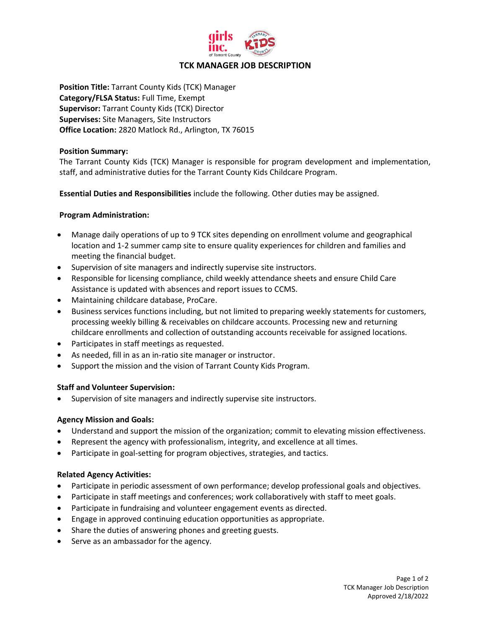

# **TCK MANAGER JOB DESCRIPTION**

**Position Title:** Tarrant County Kids (TCK) Manager **Category/FLSA Status:** Full Time, Exempt **Supervisor:** Tarrant County Kids (TCK) Director **Supervises:** Site Managers, Site Instructors **Office Location:** 2820 Matlock Rd., Arlington, TX 76015

## **Position Summary:**

The Tarrant County Kids (TCK) Manager is responsible for program development and implementation, staff, and administrative duties for the Tarrant County Kids Childcare Program.

**Essential Duties and Responsibilities** include the following. Other duties may be assigned.

# **Program Administration:**

- Manage daily operations of up to 9 TCK sites depending on enrollment volume and geographical location and 1-2 summer camp site to ensure quality experiences for children and families and meeting the financial budget.
- Supervision of site managers and indirectly supervise site instructors.
- Responsible for licensing compliance, child weekly attendance sheets and ensure Child Care Assistance is updated with absences and report issues to CCMS.
- Maintaining childcare database, ProCare.
- Business services functions including, but not limited to preparing weekly statements for customers, processing weekly billing & receivables on childcare accounts. Processing new and returning childcare enrollments and collection of outstanding accounts receivable for assigned locations.
- Participates in staff meetings as requested.
- As needed, fill in as an in-ratio site manager or instructor.
- Support the mission and the vision of Tarrant County Kids Program.

# **Staff and Volunteer Supervision:**

• Supervision of site managers and indirectly supervise site instructors.

# **Agency Mission and Goals:**

- Understand and support the mission of the organization; commit to elevating mission effectiveness.
- Represent the agency with professionalism, integrity, and excellence at all times.
- Participate in goal-setting for program objectives, strategies, and tactics.

# **Related Agency Activities:**

- Participate in periodic assessment of own performance; develop professional goals and objectives.
- Participate in staff meetings and conferences; work collaboratively with staff to meet goals.
- Participate in fundraising and volunteer engagement events as directed.
- Engage in approved continuing education opportunities as appropriate.
- Share the duties of answering phones and greeting guests.
- Serve as an ambassador for the agency.